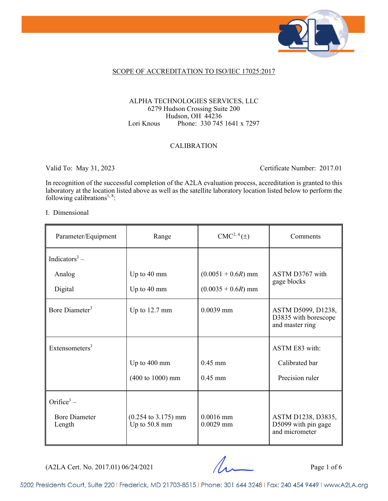

## SCOPE OF ACCREDITATION TO ISO/IEC 17025:2017

#### ALPHA TECHNOLOGIES SERVICES, LLC 6279 Hudson Crossing Suite 200 Hudson, OH 44236 Lori Knous Phone: 330 745 1641 x 7297

## CALIBRATION

Valid To: May 31, 2023 Certificate Number: 2017.01

In recognition of the successful completion of the A2LA evaluation process, accreditation is granted to this laboratory at the location listed above as well as the satellite laboratory location listed below to perform the following calibrations<sup>1, 8</sup>:

#### I. Dimensional

| Parameter/Equipment            | Range                                                   | $CMC2, 4(\pm)$             | Comments                                                      |
|--------------------------------|---------------------------------------------------------|----------------------------|---------------------------------------------------------------|
| Indicators <sup>3</sup> –      |                                                         |                            |                                                               |
| Analog                         | Up to 40 mm                                             | $(0.0051 + 0.6R)$ mm       | ASTM D3767 with                                               |
| Digital                        | Up to 40 mm                                             | $(0.0035 + 0.6R)$ mm       | gage blocks                                                   |
| Bore Diameter <sup>3</sup>     | Up to $12.7 \text{ mm}$                                 | $0.0039$ mm                | ASTM D5099, D1238,<br>D3835 with borescope<br>and master ring |
| Extensometers $3$              |                                                         |                            | ASTM E83 with:                                                |
|                                | Up to 400 mm                                            | $0.45$ mm                  | Calibrated bar                                                |
|                                | $(400 \text{ to } 1000) \text{ mm}$                     | $0.45$ mm                  | Precision ruler                                               |
| Orifice $3 -$                  |                                                         |                            |                                                               |
| <b>Bore Diameter</b><br>Length | $(0.254 \text{ to } 3.175) \text{ mm}$<br>Up to 50.8 mm | $0.0016$ mm<br>$0.0029$ mm | ASTM D1238, D3835,<br>D5099 with pin gage<br>and micrometer   |

 $(A2LA$  Cert. No. 2017.01) 06/24/2021 Page 1 of 6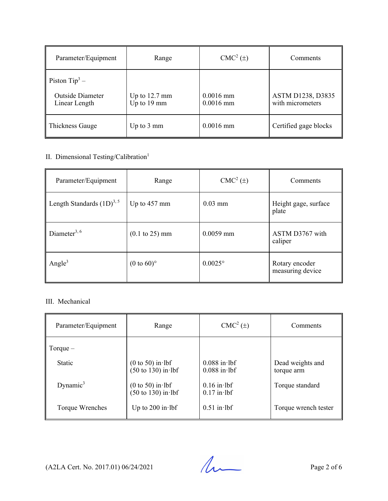| Parameter/Equipment                         | Range                   | $CMC2(\pm)$ | Comments              |
|---------------------------------------------|-------------------------|-------------|-----------------------|
| Piston $Tip^3$ –<br><b>Outside Diameter</b> | Up to $12.7 \text{ mm}$ | $0.0016$ mm | ASTM D1238, D3835     |
| Linear Length                               | Up to 19 mm             | $0.0016$ mm | with micrometers      |
| Thickness Gauge                             | Up to $3 \text{ mm}$    | $0.0016$ mm | Certified gage blocks |

## II. Dimensional Testing/Calibration<sup>1</sup>

| Parameter/Equipment                   | Range                             | $CMC2(\pm)$      | Comments                           |
|---------------------------------------|-----------------------------------|------------------|------------------------------------|
| Length Standards $(1D)^{3,5}$         | Up to $457$ mm                    | $0.03$ mm        | Height gage, surface<br>plate      |
| Diameter <sup>3, <math>6</math></sup> | $(0.1 \text{ to } 25) \text{ mm}$ | $0.0059$ mm      | ASTM D3767 with<br>caliper         |
| Angle <sup>3</sup>                    | $(0 \text{ to } 60)$ °            | $0.0025^{\circ}$ | Rotary encoder<br>measuring device |

## III. Mechanical

| Parameter/Equipment | Range                                                        | $CMC2(\pm)$                      | Comments                       |
|---------------------|--------------------------------------------------------------|----------------------------------|--------------------------------|
| Torque $-$          |                                                              |                                  |                                |
| Static              | $(0 \text{ to } 50)$ in lbf<br>$(50 \text{ to } 130)$ in lbf | $0.088$ in lbf<br>$0.088$ in lbf | Dead weights and<br>torque arm |
| Dynamic $3$         | $(0 to 50)$ in lbf<br>$(50 \text{ to } 130)$ in lbf          | $0.16$ in lbf<br>$0.17$ in lbf   | Torque standard                |
| Torque Wrenches     | Up to 200 in $lbf$                                           | $0.51$ in lbf                    | Torque wrench tester           |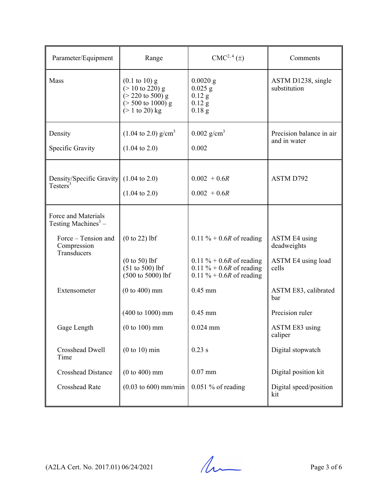| Parameter/Equipment                                                       | Range                                                                                                                                                      | CMC <sup>2, 4</sup> (±)                                                                          | Comments                                 |
|---------------------------------------------------------------------------|------------------------------------------------------------------------------------------------------------------------------------------------------------|--------------------------------------------------------------------------------------------------|------------------------------------------|
| Mass                                                                      | $(0.1 \text{ to } 10) \text{ g}$<br>$(> 10 \text{ to } 220)$ g<br>$(> 220 \text{ to } 500) \text{ g}$<br>$($ > 500 to 1000) g<br>$(> 1 \text{ to } 20)$ kg | $0.0020$ g<br>$0.025$ g<br>$0.12$ g<br>$0.12$ g<br>$0.18$ g                                      | ASTM D1238, single<br>substitution       |
| Density<br>Specific Gravity                                               | $(1.04 \text{ to } 2.0) \text{ g/cm}^3$<br>$(1.04 \text{ to } 2.0)$                                                                                        | $0.002$ g/cm <sup>3</sup><br>0.002                                                               | Precision balance in air<br>and in water |
| Density/Specific Gravity $(1.04 \text{ to } 2.0)$<br>Testers <sup>3</sup> | $(1.04 \text{ to } 2.0)$                                                                                                                                   | $0.002 + 0.6R$<br>$0.002 + 0.6R$                                                                 | ASTM D792                                |
| Force and Materials<br>Testing Machines <sup>3</sup> –                    |                                                                                                                                                            |                                                                                                  |                                          |
| Force - Tension and<br>Compression<br>Transducers                         | $(0 to 22)$ lbf                                                                                                                                            | 0.11 % + 0.6 <i>R</i> of reading                                                                 | <b>ASTM E4</b> using<br>deadweights      |
|                                                                           | $(0 to 50)$ lbf<br>$(51 to 500)$ lbf<br>$(500 to 5000)$ lbf                                                                                                | 0.11 % + 0.6 <i>R</i> of reading<br>0.11 % + 0.6R of reading<br>0.11 % + 0.6 <i>R</i> of reading | ASTM E4 using load<br>cells              |
| Extensometer                                                              | $(0 to 400)$ mm                                                                                                                                            | $0.45$ mm                                                                                        | ASTM E83, calibrated<br>bar              |
|                                                                           | $(400 \text{ to } 1000) \text{ mm}$                                                                                                                        | $0.45$ mm                                                                                        | Precision ruler                          |
| Gage Length                                                               | $(0 to 100)$ mm                                                                                                                                            | $0.024$ mm                                                                                       | ASTM E83 using<br>caliper                |
| <b>Crosshead Dwell</b><br>Time                                            | $(0 to 10)$ min                                                                                                                                            | $0.23$ s                                                                                         | Digital stopwatch                        |
| <b>Crosshead Distance</b>                                                 | $(0 to 400)$ mm                                                                                                                                            | $0.07$ mm                                                                                        | Digital position kit                     |
| Crosshead Rate                                                            | $(0.03 \text{ to } 600) \text{ mm/min}$                                                                                                                    | $0.051\%$ of reading                                                                             | Digital speed/position<br>kit            |

 $(A2LA$  Cert. No. 2017.01) 06/24/2021 Page 3 of 6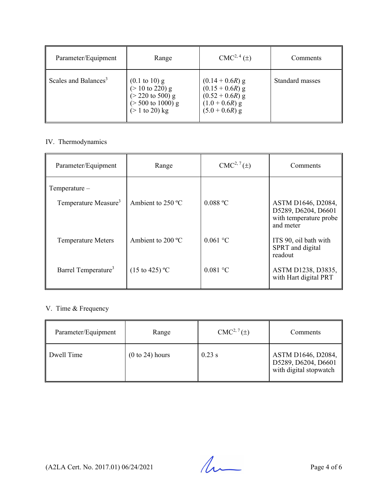| Parameter/Equipment              | Range                                                                                                                                                                      | $CMC2, 4(\pm)$                                                                                      | Comments        |
|----------------------------------|----------------------------------------------------------------------------------------------------------------------------------------------------------------------------|-----------------------------------------------------------------------------------------------------|-----------------|
| Scales and Balances <sup>3</sup> | $(0.1 \text{ to } 10) \text{ g}$<br>$(> 10 \text{ to } 220) \text{ g}$<br>$(> 220 \text{ to } 500) \text{ g}$<br>$($ > 500 to 1000) g<br>$(> 1 \text{ to } 20) \text{ kg}$ | $(0.14 + 0.6R)$ g<br>$(0.15 + 0.6R)$ g<br>$(0.52 + 0.6R)$ g<br>$(1.0 + 0.6R)$ g<br>$(5.0 + 0.6R)$ g | Standard masses |

## IV. Thermodynamics

| Parameter/Equipment              | Range                      | $CMC2, 7(\pm)$ | Comments                                                                         |
|----------------------------------|----------------------------|----------------|----------------------------------------------------------------------------------|
| Temperature-                     |                            |                |                                                                                  |
| Temperature Measure <sup>3</sup> | Ambient to $250 °C$        | $0.088$ °C     | ASTM D1646, D2084,<br>D5289, D6204, D6601<br>with temperature probe<br>and meter |
| <b>Temperature Meters</b>        | Ambient to $200^{\circ}$ C | 0.061 °C       | ITS 90, oil bath with<br>SPRT and digital<br>readout                             |
| Barrel Temperature <sup>3</sup>  | $(15 \text{ to } 425)$ °C  | $0.081$ °C     | ASTM D1238, D3835,<br>with Hart digital PRT                                      |

## V. Time & Frequency

| Parameter/Equipment | Range           | $CMC2, 7(\pm)$ | Comments                                                            |
|---------------------|-----------------|----------------|---------------------------------------------------------------------|
| Dwell Time          | (0 to 24) hours | $0.23$ s       | ASTM D1646, D2084,<br>D5289, D6204, D6601<br>with digital stopwatch |

 $(A2LA$  Cert. No. 2017.01) 06/24/2021 Page 4 of 6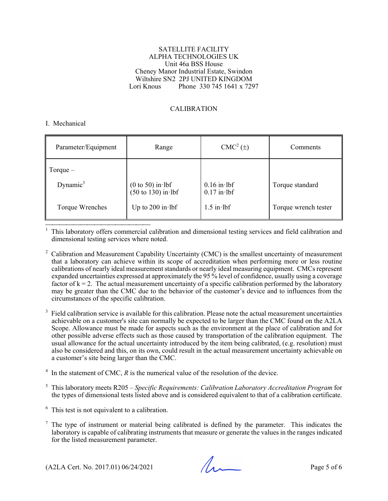#### SATELLITE FACILITY ALPHA TECHNOLOGIES UK Unit 46a BSS House Cheney Manor Industrial Estate, Swindon Wiltshire SN2 2PJ UNITED KINGDOM<br>Lori Knous Phone 330 745 1641 x 729 Phone 330 745 1641 x 7297

### CALIBRATION

#### I. Mechanical

| Parameter/Equipment | Range                                                        | CMC <sup>2</sup> (±)           | Comments             |
|---------------------|--------------------------------------------------------------|--------------------------------|----------------------|
| Torque $-$          |                                                              |                                |                      |
| Dynamic $3$         | $(0 \text{ to } 50)$ in lbf<br>$(50 \text{ to } 130)$ in lbf | $0.16$ in lbf<br>$0.17$ in lbf | Torque standard      |
| Torque Wrenches     | Up to $200$ in lbf                                           | $1.5$ in lbf                   | Torque wrench tester |

This laboratory offers commercial calibration and dimensional testing services and field calibration and <sup>1</sup> dimensional testing services where noted.

<sup>2</sup> Calibration and Measurement Capability Uncertainty (CMC) is the smallest uncertainty of measurement that a laboratory can achieve within its scope of accreditation when performing more or less routine calibrations of nearly ideal measurement standards or nearly ideal measuring equipment. CMCs represent expanded uncertainties expressed at approximately the 95 % level of confidence, usually using a coverage factor of  $k = 2$ . The actual measurement uncertainty of a specific calibration performed by the laboratory may be greater than the CMC due to the behavior of the customer's device and to influences from the circumstances of the specific calibration.

 $3$  Field calibration service is available for this calibration. Please note the actual measurement uncertainties achievable on a customer's site can normally be expected to be larger than the CMC found on the A2LA Scope. Allowance must be made for aspects such as the environment at the place of calibration and for other possible adverse effects such as those caused by transportation of the calibration equipment. The usual allowance for the actual uncertainty introduced by the item being calibrated, (e.g. resolution) must also be considered and this, on its own, could result in the actual measurement uncertainty achievable on a customer's site being larger than the CMC.

 $4 \text{ In the statement of CMC, } R \text{ is the numerical value of the resolution of the device.}$ 

5 This laboratory meets R205 – *Specific Requirements: Calibration Laboratory Accreditation Program* for the types of dimensional tests listed above and is considered equivalent to that of a calibration certificate.

 $6$  This test is not equivalent to a calibration.

 $<sup>7</sup>$  The type of instrument or material being calibrated is defined by the parameter. This indicates the</sup> laboratory is capable of calibrating instruments that measure or generate the values in the ranges indicated for the listed measurement parameter.

 $(A2LA$  Cert. No. 2017.01) 06/24/2021 Page 5 of 6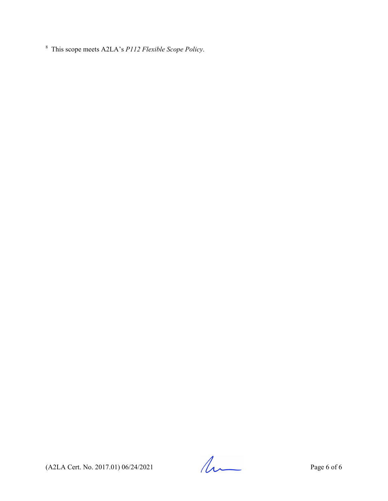8 This scope meets A2LA's *P112 Flexible Scope Policy*.

 $(A2LA$  Cert. No. 2017.01) 06/24/2021 Page 6 of 6